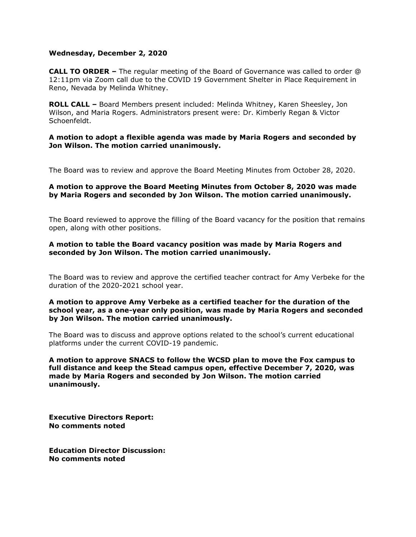#### **Wednesday, December 2, 2020**

**CALL TO ORDER –** The regular meeting of the Board of Governance was called to order @ 12:11pm via Zoom call due to the COVID 19 Government Shelter in Place Requirement in Reno, Nevada by Melinda Whitney.

**ROLL CALL –** Board Members present included: Melinda Whitney, Karen Sheesley, Jon Wilson, and Maria Rogers. Administrators present were: Dr. Kimberly Regan & Victor Schoenfeldt.

### **A motion to adopt a flexible agenda was made by Maria Rogers and seconded by Jon Wilson. The motion carried unanimously.**

The Board was to review and approve the Board Meeting Minutes from October 28, 2020.

## **A motion to approve the Board Meeting Minutes from October 8, 2020 was made by Maria Rogers and seconded by Jon Wilson. The motion carried unanimously.**

The Board reviewed to approve the filling of the Board vacancy for the position that remains open, along with other positions.

## **A motion to table the Board vacancy position was made by Maria Rogers and seconded by Jon Wilson. The motion carried unanimously.**

The Board was to review and approve the certified teacher contract for Amy Verbeke for the duration of the 2020-2021 school year.

### **A motion to approve Amy Verbeke as a certified teacher for the duration of the school year, as a one-year only position, was made by Maria Rogers and seconded by Jon Wilson. The motion carried unanimously.**

The Board was to discuss and approve options related to the school's current educational platforms under the current COVID-19 pandemic.

**A motion to approve SNACS to follow the WCSD plan to move the Fox campus to full distance and keep the Stead campus open, effective December 7, 2020, was made by Maria Rogers and seconded by Jon Wilson. The motion carried unanimously.** 

**Executive Directors Report: No comments noted**

**Education Director Discussion: No comments noted**